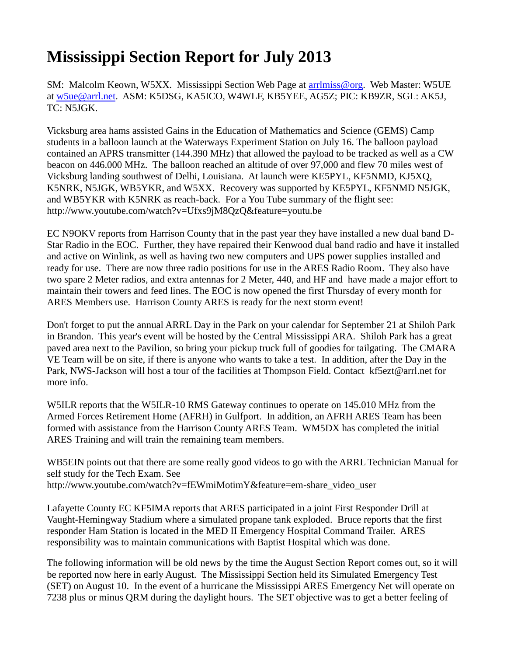## **Mississippi Section Report for July 2013**

SM: Malcolm Keown, W5XX. Mississippi Section Web Page at [arrlmiss@org.](mailto:arrlmiss@org) Web Master: W5UE at [w5ue@arrl.net.](mailto:w5ue@arrl.net) ASM: K5DSG, KA5ICO, W4WLF, KB5YEE, AG5Z; PIC: KB9ZR, SGL: AK5J, TC: N5JGK.

Vicksburg area hams assisted Gains in the Education of Mathematics and Science (GEMS) Camp students in a balloon launch at the Waterways Experiment Station on July 16. The balloon payload contained an APRS transmitter (144.390 MHz) that allowed the payload to be tracked as well as a CW beacon on 446.000 MHz. The balloon reached an altitude of over 97,000 and flew 70 miles west of Vicksburg landing southwest of Delhi, Louisiana. At launch were KE5PYL, KF5NMD, KJ5XQ, K5NRK, N5JGK, WB5YKR, and W5XX. Recovery was supported by KE5PYL, KF5NMD N5JGK, and WB5YKR with K5NRK as reach-back. For a You Tube summary of the flight see: <http://www.youtube.com/watch?v=Ufxs9jM8QzQ&feature=youtu.be>

EC N9OKV reports from Harrison County that in the past year they have installed a new dual band D-Star Radio in the EOC. Further, they have repaired their Kenwood dual band radio and have it installed and active on Winlink, as well as having two new computers and UPS power supplies installed and ready for use. There are now three radio positions for use in the ARES Radio Room. They also have two spare 2 Meter radios, and extra antennas for 2 Meter, 440, and HF and have made a major effort to maintain their towers and feed lines. The EOC is now opened the first Thursday of every month for ARES Members use. Harrison County ARES is ready for the next storm event!

Don't forget to put the annual ARRL Day in the Park on your calendar for September 21 at Shiloh Park in Brandon. This year's event will be hosted by the Central Mississippi ARA. Shiloh Park has a great paved area next to the Pavilion, so bring your pickup truck full of goodies for tailgating. The CMARA VE Team will be on site, if there is anyone who wants to take a test. In addition, after the Day in the Park, NWS-Jackson will host a tour of the facilities at Thompson Field. Contact [kf5ezt@arrl.net](mailto:kf5ezt@arrl.net) for more info.

W5ILR reports that the W5ILR-10 RMS Gateway continues to operate on 145.010 MHz from the Armed Forces Retirement Home (AFRH) in Gulfport. In addition, an AFRH ARES Team has been formed with assistance from the Harrison County ARES Team. WM5DX has completed the initial ARES Training and will train the remaining team members.

WB5EIN points out that there are some really good videos to go with the ARRL Technician Manual for self study for the Tech Exam. See [http://www.youtube.com/watch?v=fEWmiMotimY&feature=em-share\\_video\\_user](http://www.youtube.com/watch?v=fEWmiMotimY&feature=em-share_video_user)

Lafayette County EC KF5IMA reports that ARES participated in a joint First Responder Drill at Vaught-Hemingway Stadium where a simulated propane tank exploded. Bruce reports that the first responder Ham Station is located in the MED II Emergency Hospital Command Trailer. ARES responsibility was to maintain communications with Baptist Hospital which was done.

The following information will be old news by the time the August Section Report comes out, so it will be reported now here in early August. The Mississippi Section held its Simulated Emergency Test (SET) on August 10. In the event of a hurricane the Mississippi ARES Emergency Net will operate on 7238 plus or minus QRM during the daylight hours. The SET objective was to get a better feeling of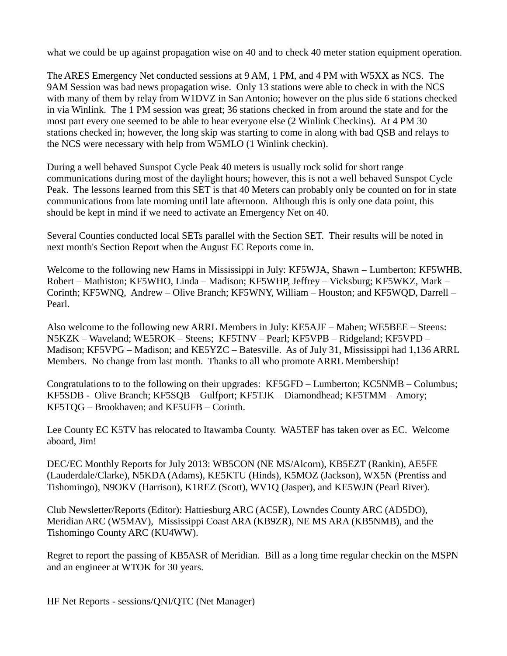what we could be up against propagation wise on 40 and to check 40 meter station equipment operation.

The ARES Emergency Net conducted sessions at 9 AM, 1 PM, and 4 PM with W5XX as NCS. The 9AM Session was bad news propagation wise. Only 13 stations were able to check in with the NCS with many of them by relay from W1DVZ in San Antonio; however on the plus side 6 stations checked in via Winlink. The 1 PM session was great; 36 stations checked in from around the state and for the most part every one seemed to be able to hear everyone else (2 Winlink Checkins). At 4 PM 30 stations checked in; however, the long skip was starting to come in along with bad QSB and relays to the NCS were necessary with help from W5MLO (1 Winlink checkin).

During a well behaved Sunspot Cycle Peak 40 meters is usually rock solid for short range communications during most of the daylight hours; however, this is not a well behaved Sunspot Cycle Peak. The lessons learned from this SET is that 40 Meters can probably only be counted on for in state communications from late morning until late afternoon. Although this is only one data point, this should be kept in mind if we need to activate an Emergency Net on 40.

Several Counties conducted local SETs parallel with the Section SET. Their results will be noted in next month's Section Report when the August EC Reports come in.

Welcome to the following new Hams in Mississippi in July: KF5WJA, Shawn – Lumberton; KF5WHB, Robert – Mathiston; KF5WHO, Linda – Madison; KF5WHP, Jeffrey – Vicksburg; KF5WKZ, Mark – Corinth; KF5WNQ, Andrew – Olive Branch; KF5WNY, William – Houston; and KF5WQD, Darrell – Pearl.

Also welcome to the following new ARRL Members in July: KE5AJF – Maben; WE5BEE – Steens: N5KZK – Waveland; WE5ROK – Steens; KF5TNV – Pearl; KF5VPB – Ridgeland; KF5VPD – Madison; KF5VPG – Madison; and KE5YZC – Batesville. As of July 31, Mississippi had 1,136 ARRL Members. No change from last month. Thanks to all who promote ARRL Membership!

Congratulations to to the following on their upgrades: KF5GFD – Lumberton; KC5NMB – Columbus; KF5SDB - Olive Branch; KF5SQB – Gulfport; KF5TJK – Diamondhead; KF5TMM – Amory; KF5TQG – Brookhaven; and KF5UFB – Corinth.

Lee County EC K5TV has relocated to Itawamba County. WA5TEF has taken over as EC. Welcome aboard, Jim!

DEC/EC Monthly Reports for July 2013: WB5CON (NE MS/Alcorn), KB5EZT (Rankin), AE5FE (Lauderdale/Clarke), N5KDA (Adams), KE5KTU (Hinds), K5MOZ (Jackson), WX5N (Prentiss and Tishomingo), N9OKV (Harrison), K1REZ (Scott), WV1Q (Jasper), and KE5WJN (Pearl River).

Club Newsletter/Reports (Editor): Hattiesburg ARC (AC5E), Lowndes County ARC (AD5DO), Meridian ARC (W5MAV), Mississippi Coast ARA (KB9ZR), NE MS ARA (KB5NMB), and the Tishomingo County ARC (KU4WW).

Regret to report the passing of KB5ASR of Meridian. Bill as a long time regular checkin on the MSPN and an engineer at WTOK for 30 years.

HF Net Reports - sessions/QNI/QTC (Net Manager)